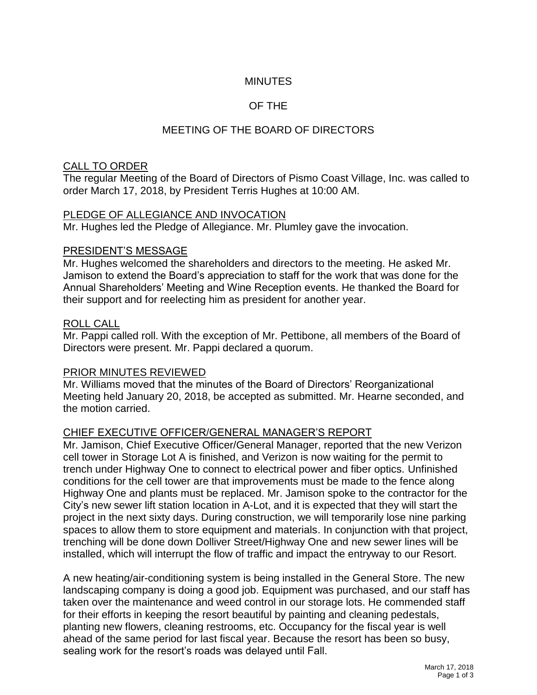## **MINUTES**

### OF THE

## MEETING OF THE BOARD OF DIRECTORS

### CALL TO ORDER

The regular Meeting of the Board of Directors of Pismo Coast Village, Inc. was called to order March 17, 2018, by President Terris Hughes at 10:00 AM.

#### PLEDGE OF ALLEGIANCE AND INVOCATION

Mr. Hughes led the Pledge of Allegiance. Mr. Plumley gave the invocation.

#### PRESIDENT'S MESSAGE

Mr. Hughes welcomed the shareholders and directors to the meeting. He asked Mr. Jamison to extend the Board's appreciation to staff for the work that was done for the Annual Shareholders' Meeting and Wine Reception events. He thanked the Board for their support and for reelecting him as president for another year.

#### ROLL CALL

Mr. Pappi called roll. With the exception of Mr. Pettibone, all members of the Board of Directors were present. Mr. Pappi declared a quorum.

### PRIOR MINUTES REVIEWED

Mr. Williams moved that the minutes of the Board of Directors' Reorganizational Meeting held January 20, 2018, be accepted as submitted. Mr. Hearne seconded, and the motion carried.

### CHIEF EXECUTIVE OFFICER/GENERAL MANAGER'S REPORT

Mr. Jamison, Chief Executive Officer/General Manager, reported that the new Verizon cell tower in Storage Lot A is finished, and Verizon is now waiting for the permit to trench under Highway One to connect to electrical power and fiber optics. Unfinished conditions for the cell tower are that improvements must be made to the fence along Highway One and plants must be replaced. Mr. Jamison spoke to the contractor for the City's new sewer lift station location in A-Lot, and it is expected that they will start the project in the next sixty days. During construction, we will temporarily lose nine parking spaces to allow them to store equipment and materials. In conjunction with that project, trenching will be done down Dolliver Street/Highway One and new sewer lines will be installed, which will interrupt the flow of traffic and impact the entryway to our Resort.

A new heating/air-conditioning system is being installed in the General Store. The new landscaping company is doing a good job. Equipment was purchased, and our staff has taken over the maintenance and weed control in our storage lots. He commended staff for their efforts in keeping the resort beautiful by painting and cleaning pedestals, planting new flowers, cleaning restrooms, etc. Occupancy for the fiscal year is well ahead of the same period for last fiscal year. Because the resort has been so busy, sealing work for the resort's roads was delayed until Fall.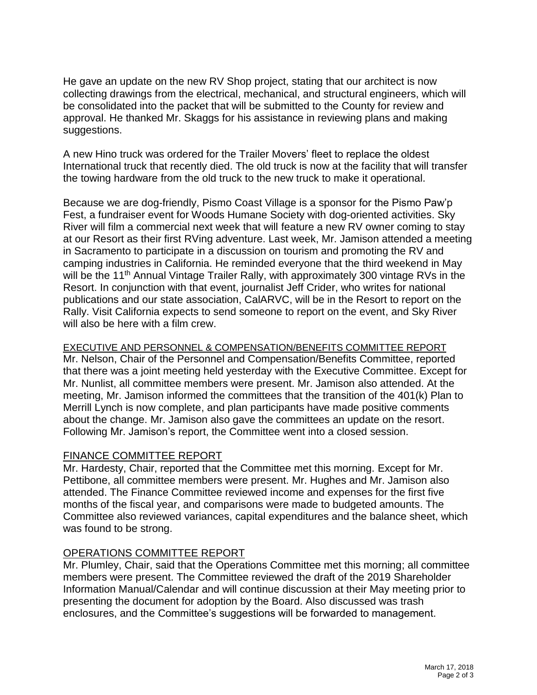He gave an update on the new RV Shop project, stating that our architect is now collecting drawings from the electrical, mechanical, and structural engineers, which will be consolidated into the packet that will be submitted to the County for review and approval. He thanked Mr. Skaggs for his assistance in reviewing plans and making suggestions.

A new Hino truck was ordered for the Trailer Movers' fleet to replace the oldest International truck that recently died. The old truck is now at the facility that will transfer the towing hardware from the old truck to the new truck to make it operational.

Because we are dog-friendly, Pismo Coast Village is a sponsor for the Pismo Paw'p Fest, a fundraiser event for Woods Humane Society with dog-oriented activities. Sky River will film a commercial next week that will feature a new RV owner coming to stay at our Resort as their first RVing adventure. Last week, Mr. Jamison attended a meeting in Sacramento to participate in a discussion on tourism and promoting the RV and camping industries in California. He reminded everyone that the third weekend in May will be the 11<sup>th</sup> Annual Vintage Trailer Rally, with approximately 300 vintage RVs in the Resort. In conjunction with that event, journalist Jeff Crider, who writes for national publications and our state association, CalARVC, will be in the Resort to report on the Rally. Visit California expects to send someone to report on the event, and Sky River will also be here with a film crew.

EXECUTIVE AND PERSONNEL & COMPENSATION/BENEFITS COMMITTEE REPORT

Mr. Nelson, Chair of the Personnel and Compensation/Benefits Committee, reported that there was a joint meeting held yesterday with the Executive Committee. Except for Mr. Nunlist, all committee members were present. Mr. Jamison also attended. At the meeting, Mr. Jamison informed the committees that the transition of the 401(k) Plan to Merrill Lynch is now complete, and plan participants have made positive comments about the change. Mr. Jamison also gave the committees an update on the resort. Following Mr. Jamison's report, the Committee went into a closed session.

### FINANCE COMMITTEE REPORT

Mr. Hardesty, Chair, reported that the Committee met this morning. Except for Mr. Pettibone, all committee members were present. Mr. Hughes and Mr. Jamison also attended. The Finance Committee reviewed income and expenses for the first five months of the fiscal year, and comparisons were made to budgeted amounts. The Committee also reviewed variances, capital expenditures and the balance sheet, which was found to be strong.

## OPERATIONS COMMITTEE REPORT

Mr. Plumley, Chair, said that the Operations Committee met this morning; all committee members were present. The Committee reviewed the draft of the 2019 Shareholder Information Manual/Calendar and will continue discussion at their May meeting prior to presenting the document for adoption by the Board. Also discussed was trash enclosures, and the Committee's suggestions will be forwarded to management.